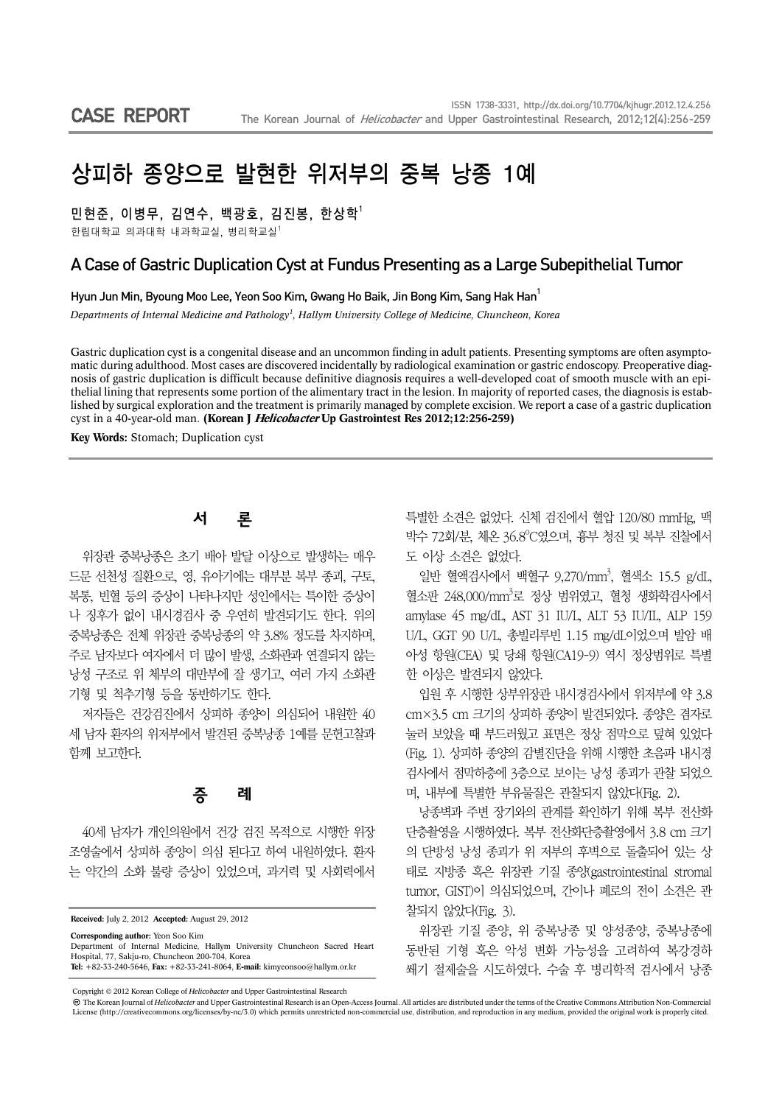# 상피하 종양으로 발현한 위저부의 중복 낭종 1예

민현준, 이병무, 김연수, 백광호, 김진봉, 한상학<sup>1</sup>

한림대학교 의과대학 내과학교실, 병리학교실 $1$ 

#### A Case of Gastric Duplication Cyst at Fundus Presenting as a Large Subepithelial Tumor

Hyun Jun Min, Byoung Moo Lee, Yeon Soo Kim, Gwang Ho Baik, Jin Bong Kim, Sang Hak Han<sup>1</sup>

*Departments of Internal Medicine and Pathology1 , Hallym University College of Medicine, Chuncheon, Korea*

Gastric duplication cyst is a congenital disease and an uncommon finding in adult patients. Presenting symptoms are often asymptomatic during adulthood. Most cases are discovered incidentally by radiological examination or gastric endoscopy. Preoperative diagnosis of gastric duplication is difficult because definitive diagnosis requires a well-developed coat of smooth muscle with an epithelial lining that represents some portion of the alimentary tract in the lesion. In majority of reported cases, the diagnosis is established by surgical exploration and the treatment is primarily managed by complete excision. We report a case of a gastric duplication cyst in a 40-year-old man. **(Korean J Helicobacter Up Gastrointest Res 2012;12:256-259)**

**Key Words:** Stomach; Duplication cyst

## 서 론

위장관 중복낭종은 초기 배아 발달 이상으로 발생하는 매우 드문 선천성 질환으로, 영, 유아기에는 대부분 복부 종괴, 구토, 복통, 빈혈 등의 증상이 나타나지만 성인에서는 특이한 증상이 나 징후가 없이 내시경검사 중 우연히 발견되기도 한다. 위의 중복낭종은 전체 위장관 중복낭종의 약 3.8% 정도를 차지하며, 주로 남자보다 여자에서 더 많이 발생, 소화관과 연결되지 않는 낭성 구조로 위 체부의 대만부에 잘 생기고, 여러 가지 소화관 기형 및 척추기형 등을 동반하기도 한다.

저자들은 건강검진에서 상피하 종양이 의심되어 내원한 40 세 남자 환자의 위저부에서 발견된 중복낭종 1예를 문헌고찰과 함께 보고한다.

#### 증 례

40세 남자가 개인의원에서 건강 검진 목적으로 시행한 위장 조영술에서 상피하 종양이 의심 된다고 하여 내원하였다. 환자 는 약간의 소화 불량 증상이 있었으며, 과거력 및 사회력에서

**Received:** July 2, 2012 **Accepted:** August 29, 2012

**Corresponding author:** Yeon Soo Kim

Department of Internal Medicine, Hallym University Chuncheon Sacred Heart Hospital, 77, Sakju-ro, Chuncheon 200-704, Korea **Tel:** +82-33-240-5646, **Fax:** +82-33-241-8064, **E-mail:** kimyeonsoo@hallym.or.kr

특별한 소견은 없었다. 신체 검진에서 혈압 120/80 mmHg, 맥 박수 72회/분, 체온 36.8°C였으며, 흉부 청진 및 복부 진찰에서 도 이상 소견은 없었다.

일반 혈액검사에서 백혈구 9,270/mm3 , 혈색소 15.5 g/dL, 혈소판 248,000/mm<sup>3</sup>로 정상 범위였고, 혈청 생화학검사에서 amylase 45 mg/dL, AST 31 IU/L, ALT 53 IU/IL, ALP 159 U/L, GGT 90 U/L, 총빌리루빈 1.15 mg/dL이었으며 발암 배 아성 항원(CEA) 및 당쇄 항원(CA19-9) 역시 정상범위로 특별 한 이상은 발견되지 않았다.

입원 후 시행한 상부위장관 내시경검사에서 위저부에 약 3.8 cm×3.5 cm 크기의 상피하 종양이 발견되었다. 종양은 겸자로 눌러 보았을 때 부드러웠고 표면은 정상 점막으로 덮혀 있었다 (Fig. 1). 상피하 종양의 감별진단을 위해 시행한 초음파 내시경 검사에서 점막하층에 3층으로 보이는 낭성 종괴가 관찰 되었으 며, 내부에 특별한 부유물질은 관찰되지 않았다(Fig. 2).

낭종벽과 주변 장기와의 관계를 확인하기 위해 복부 전산화 단층촬영을 시행하였다. 복부 전산화단층촬영에서 3.8 cm 크기 의 단방성 낭성 종괴가 위 저부의 후벽으로 돌출되어 있는 상 태로 지방종 혹은 위장관 기질 종양(gastrointestinal stromal tumor, GIST)이 의심되었으며, 간이나 폐로의 전이 소견은 관 찰되지 않았다(Fig. 3).

위장관 기질 종양, 위 중복낭종 및 양성종양, 중복낭종에 동반된 기형 혹은 악성 변화 가능성을 고려하여 복강경하 쐐기 절제술을 시도하였다. 수술 후 병리학적 검사에서 낭종

Copyright © 2012 Korean College of *Helicobacter* and Upper Gastrointestinal Research

The Korean Journal of *Helicobacter* and Upper Gastrointestinal Research is an Open-Access Journal. All articles are distributed under the terms of the Creative Commons Attribution Non-Commercial License (http://creativecommons.org/licenses/by-nc/3.0) which permits unrestricted non-commercial use, distribution, and reproduction in any medium, provided the original work is properly cited.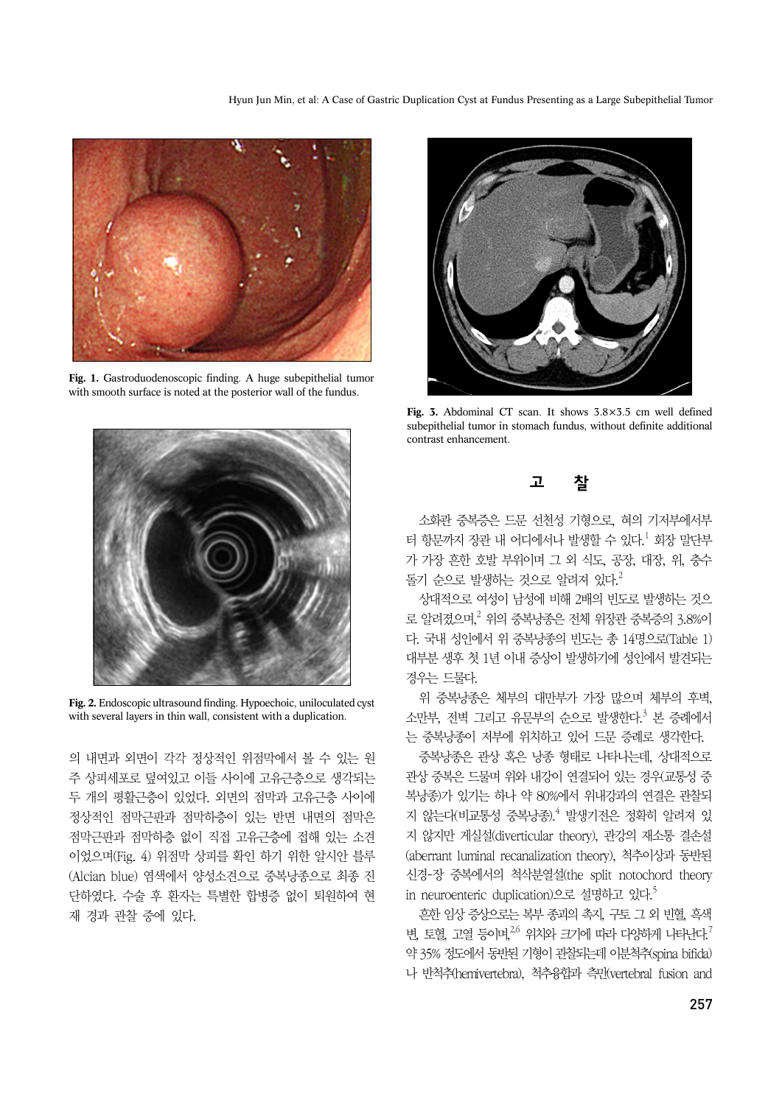

**Fig. 1.** Gastroduodenoscopic finding. A huge subepithelial tumor with smooth surface is noted at the posterior wall of the fundus.



**Fig. 2.** Endoscopic ultrasound finding. Hypoechoic, uniloculated cyst with several layers in thin wall, consistent with a duplication.

의 내면과 외면이 각각 정상적인 위점막에서 볼 수 있는 원 주 상피세포로 덮여있고 이들 사이에 고유근층으로 생각되는 두 개의 평활근층이 있었다. 외면의 점막과 고유근층 사이에 정상적인 점막근판과 점막하층이 있는 반면 내면의 점막은 점막근판과 점막하층 없이 직접 고유근층에 접해 있는 소견 이었으며(Fig. 4) 위점막 상피를 확인 하기 위한 알시안 블루 (Alcian blue) 염색에서 양성소견으로 중복낭종으로 최종 진 단하였다. 수술 후 환자는 특별한 합병증 없이 퇴원하여 현 재 경과 관찰 중에 있다.



**Fig. 3.** Abdominal CT scan. It shows 3.8×3.5 cm well defined subepithelial tumor in stomach fundus, without definite additional contrast enhancement.

## 고 찰

소화관 중복증은 드문 선천성 기형으로, 혀의 기저부에서부 터 항문까지 장관 내 어디에서나 발생할 수 있다.<sup>1</sup> 회장 말단부 가 가장 흔한 호발 부위이며 그 외 식도, 공장, 대장, 위, 충수 돌기 순으로 발생하는 것으로 알려져 있다. $^2$ 

상대적으로 여성이 남성에 비해 2배의 빈도로 발생하는 것으 로 알려졌으며, <sup>2</sup> 위의 중복낭종은 전체 위장관 중복증의 3.8%이 다. 국내 성인에서 위 중복낭종의 빈도는 총 14명으로(Table 1) 대부분 생후 첫 1년 이내 증상이 발생하기에 성인에서 발견되는 경우는 드물다.

위 중복낭종은 체부의 대만부가 가장 많으며 체부의 후벽, 소만부, 전벽 그리고 유문부의 순으로 발생한다.<sup>3</sup> 본 증례에서 는 중복낭종이 저부에 위치하고 있어 드문 증례로 생각한다.

중복낭종은 관상 혹은 낭종 형태로 나타나는데, 상대적으로 관상 중복은 드물며 위와 내강이 연결되어 있는 경우(교통성 중 복낭종)가 있기는 하나 약 80%에서 위내강과의 연결은 관찰되 지 않는다(비교통성 중복낭종).<sup>4</sup> 발생기전은 정확히 알려져 있 지 않지만 게실설(diverticular theory), 관강의 재소통 결손설 (aberrant luminal recanalization theory), 척추이상과 동반된 신경-장 중복에서의 척삭분열설(the split notochord theory in neuroenteric duplication)으로 설명하고 있다.<sup>5</sup>

흔한 임상 증상으로는 복부 종괴의 촉지, 구토 그 외 빈혈, 흑색 변, 토혈, 고열 등이며, 2,6 위치와 크기에 따라 다양하게 나타난다.<sup>7</sup> 약 35% 정도에서 동반된 기형이 관찰되는데 이분척추(spina bifida) 나 반척추(hemivertebra), 척추융합과 측만(vertebral fusion and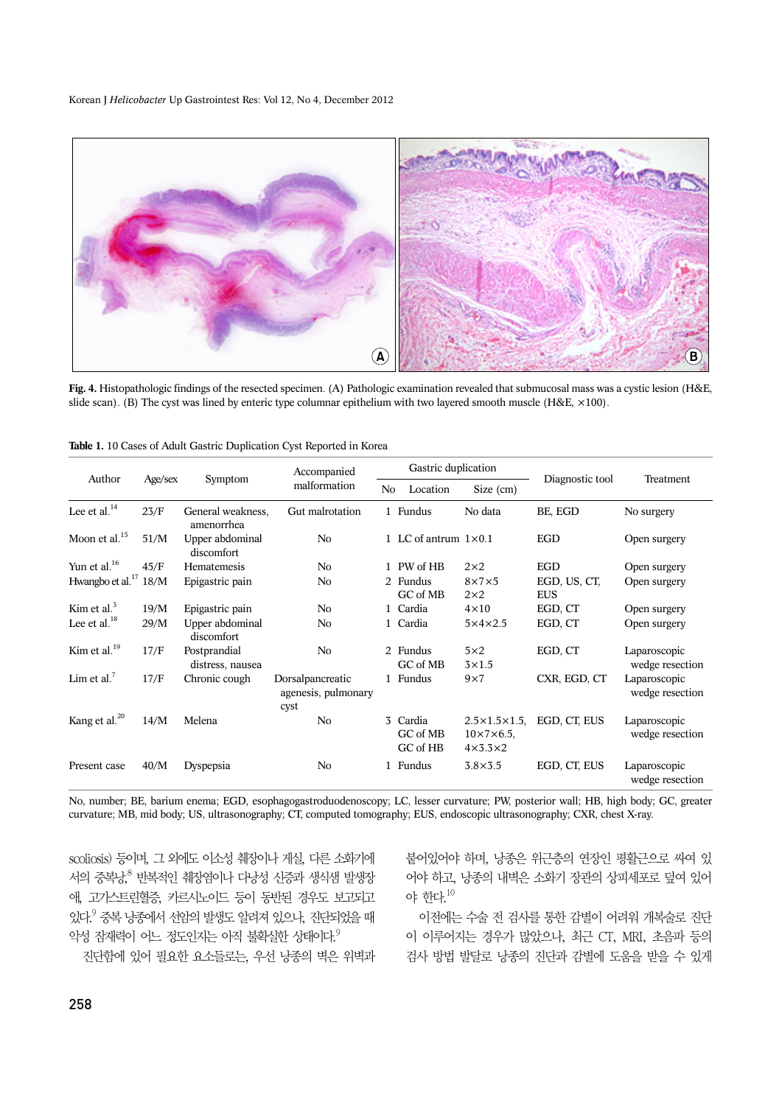Korean J *Helicobacter* Up Gastrointest Res: Vol 12, No 4, December 2012



**Fig. 4.** Histopathologic findings of the resected specimen. (A) Pathologic examination revealed that submucosal mass was a cystic lesion (H&E, slide scan). (B) The cyst was lined by enteric type columnar epithelium with two layered smooth muscle (H&E, ×100).

| Author                       |         |                                  | Accompanied<br>malformation                     |  | Gastric duplication                     |                                                                                |                            |                                 |  |
|------------------------------|---------|----------------------------------|-------------------------------------------------|--|-----------------------------------------|--------------------------------------------------------------------------------|----------------------------|---------------------------------|--|
|                              | Age/sex | Symptom                          |                                                 |  | N <sub>o</sub><br>Location<br>Size (cm) |                                                                                | Diagnostic tool            | Treatment                       |  |
| Lee et al. $^{14}$           | 23/F    | General weakness,<br>amenorrhea  | Gut malrotation                                 |  | 1 Fundus                                | No data                                                                        | BE, EGD                    | No surgery                      |  |
| Moon et al. <sup>15</sup>    | 51/M    | Upper abdominal<br>discomfort    | N <sub>0</sub>                                  |  | 1 LC of antrum $1 \times 0.1$           |                                                                                | <b>EGD</b>                 | Open surgery                    |  |
| Yun et al. <sup>16</sup>     | 45/F    | Hematemesis                      | N <sub>0</sub>                                  |  | 1 PW of HB                              | $2\times2$                                                                     | <b>EGD</b>                 | Open surgery                    |  |
| Hwangbo et al. <sup>17</sup> | 18/M    | Epigastric pain                  | No                                              |  | 2 Fundus<br>GC of MB                    | $8\times7\times5$<br>$2\times2$                                                | EGD, US, CT,<br><b>EUS</b> | Open surgery                    |  |
| Kim et al. $3$               | 19/M    | Epigastric pain                  | N <sub>0</sub>                                  |  | 1 Cardia                                | $4\times10$                                                                    | EGD, CT                    | Open surgery                    |  |
| Lee et al. $^{18}$           | 29/M    | Upper abdominal<br>discomfort    | N <sub>0</sub>                                  |  | 1 Cardia                                | $5\times4\times2.5$                                                            | EGD, CT                    | Open surgery                    |  |
| Kim et al. $^{19}$           | 17/F    | Postprandial<br>distress, nausea | N <sub>o</sub>                                  |  | 2 Fundus<br>GC of MB                    | $5\times2$<br>$3\times1.5$                                                     | EGD, CT                    | Laparoscopic<br>wedge resection |  |
| Lim et al. $\prime$          | 17/F    | Chronic cough                    | Dorsalpancreatic<br>agenesis, pulmonary<br>cyst |  | 1 Fundus                                | $9\times7$                                                                     | CXR, EGD, CT               | Laparoscopic<br>wedge resection |  |
| Kang et al. <sup>20</sup>    | 14/M    | Melena                           | N <sub>0</sub>                                  |  | 3 Cardia<br>GC of MB<br>GC of HB        | $2.5 \times 1.5 \times 1.5$<br>$10 \times 7 \times 6.5$<br>$4\times3.3\times2$ | EGD, CT, EUS               | Laparoscopic<br>wedge resection |  |
| Present case                 | 40/M    | Dyspepsia                        | N <sub>o</sub>                                  |  | 1 Fundus                                | $3.8\times3.5$                                                                 | EGD, CT, EUS               | Laparoscopic<br>wedge resection |  |

|  |  |  |  |  |  |  |  |  | Table 1. 10 Cases of Adult Gastric Duplication Cyst Reported in Korea |  |  |  |  |  |
|--|--|--|--|--|--|--|--|--|-----------------------------------------------------------------------|--|--|--|--|--|
|--|--|--|--|--|--|--|--|--|-----------------------------------------------------------------------|--|--|--|--|--|

No, number; BE, barium enema; EGD, esophagogastroduodenoscopy; LC, lesser curvature; PW, posterior wall; HB, high body; GC, greater curvature; MB, mid body; US, ultrasonography; CT, computed tomography; EUS, endoscopic ultrasonography; CXR, chest X-ray.

scoliosis) 등이며, 그 외에도 이소성 췌장이나 게실, 다른 소화기에 서의 중복낭, <sup>8</sup> 반복적인 췌장염이나 다낭성 신증과 생식샘 발생장 애, 고가스트린혈증, 카르시노이드 등이 동반된 경우도 보고되고 있다.9 중복 낭종에서 선암의 발생도 알려져 있으나, 진단되었을 때 악성 잠재력이 어느 정도인지는 아직 불확실한 상태이다.  $9$ 

진단함에 있어 필요한 요소들로는, 우선 낭종의 벽은 위벽과

붙어있어야 하며, 낭종은 위근층의 연장인 평활근으로 싸여 있 어야 하고, 낭종의 내벽은 소화기 장관의 상피세포로 덮여 있어 야 한다.10

이전에는 수술 전 검사를 통한 감별이 어려워 개복술로 진단 이 이루어지는 경우가 많았으나, 최근 CT, MRI, 초음파 등의 검사 방법 발달로 낭종의 진단과 감별에 도움을 받을 수 있게